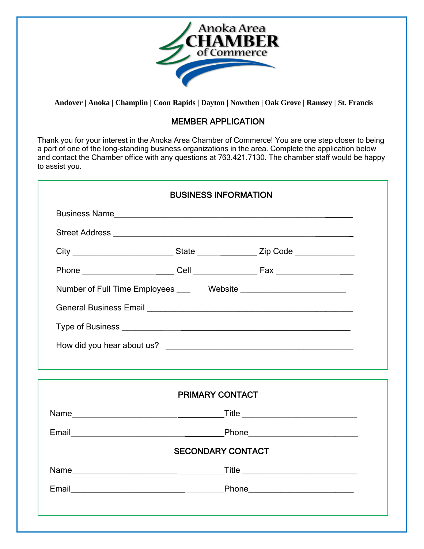

 **Andover | Anoka | Champlin | Coon Rapids | Dayton | Nowthen | Oak Grove | Ramsey | St. Francis**

## MEMBER APPLICATION

Thank you for your interest in the Anoka Area Chamber of Commerce! You are one step closer to being a part of one of the long-standing business organizations in the area. Complete the application below and contact the Chamber office with any questions at 763.421.7130. The chamber staff would be happy to assist you.

| <b>BUSINESS INFORMATION</b> |  |
|-----------------------------|--|
|                             |  |
|                             |  |
|                             |  |
|                             |  |
|                             |  |
|                             |  |
|                             |  |
|                             |  |
|                             |  |
|                             |  |
| <b>PRIMARY CONTACT</b>      |  |
|                             |  |
|                             |  |
| <b>SECONDARY CONTACT</b>    |  |
|                             |  |